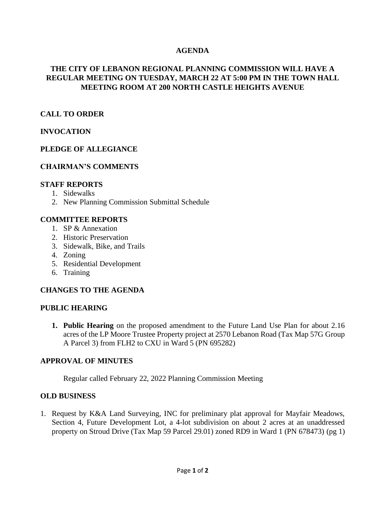## **AGENDA**

# **THE CITY OF LEBANON REGIONAL PLANNING COMMISSION WILL HAVE A REGULAR MEETING ON TUESDAY, MARCH 22 AT 5:00 PM IN THE TOWN HALL MEETING ROOM AT 200 NORTH CASTLE HEIGHTS AVENUE**

### **CALL TO ORDER**

### **INVOCATION**

### **PLEDGE OF ALLEGIANCE**

#### **CHAIRMAN'S COMMENTS**

#### **STAFF REPORTS**

- 1. Sidewalks
- 2. New Planning Commission Submittal Schedule

#### **COMMITTEE REPORTS**

- 1. SP & Annexation
- 2. Historic Preservation
- 3. Sidewalk, Bike, and Trails
- 4. Zoning
- 5. Residential Development
- 6. Training

#### **CHANGES TO THE AGENDA**

#### **PUBLIC HEARING**

**1. Public Hearing** on the proposed amendment to the Future Land Use Plan for about 2.16 acres of the LP Moore Trustee Property project at 2570 Lebanon Road (Tax Map 57G Group A Parcel 3) from FLH2 to CXU in Ward 5 (PN 695282)

#### **APPROVAL OF MINUTES**

Regular called February 22, 2022 Planning Commission Meeting

#### **OLD BUSINESS**

1. Request by K&A Land Surveying, INC for preliminary plat approval for Mayfair Meadows, Section 4, Future Development Lot, a 4-lot subdivision on about 2 acres at an unaddressed property on Stroud Drive (Tax Map 59 Parcel 29.01) zoned RD9 in Ward 1 (PN 678473) (pg 1)